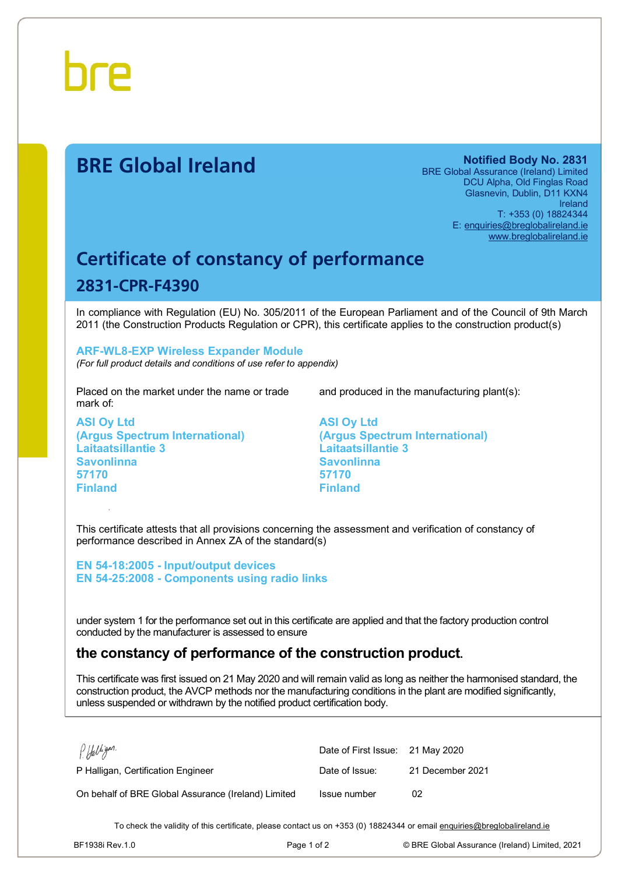

# **BRE Global Ireland Notified Body No. 2831**

BRE Global Assurance (Ireland) Limited DCU Alpha, Old Finglas Road Glasnevin, Dublin, D11 KXN4 Ireland T: +353 (0) 18824344 E: [enquiries@breglobalireland.ie](mailto:enquiries@breglobalireland.ie) [www.breglobalireland.ie](http://www.breglobalireland.ie)

# **Certificate of constancy of performance 2831-CPR-F4390**

In compliance with Regulation (EU) No. 305/2011 of the European Parliament and of the Council of 9th March 2011 (the Construction Products Regulation or CPR), this certificate applies to the construction product(s)

### **ARF-WL8-EXP Wireless Expander Module**

*(For full product details and conditions of use refer to appendix)* 

Placed on the market under the name or trade mark of:

**ASI Oy Ltd (Argus Spectrum International) Laitaatsillantie 3 Savonlinna 57170 Finland** 

and produced in the manufacturing plant(s):

**ASI Oy Ltd (Argus Spectrum International) Laitaatsillantie 3 Savonlinna 57170 Finland** 

This certificate attests that all provisions concerning the assessment and verification of constancy of performance described in Annex ZA of the standard(s)

**EN 54-18:2005 - Input/output devices EN 54-25:2008 - Components using radio links** 

under system 1 for the performance set out in this certificate are applied and that the factory production control conducted by the manufacturer is assessed to ensure

## **the constancy of performance of the construction product.**

This certificate was first issued on 21 May 2020 and will remain valid as long as neither the harmonised standard, the construction product, the AVCP methods nor the manufacturing conditions in the plant are modified significantly, unless suspended or withdrawn by the notified product certification body.

| P. Halligan.                                        | Date of First Issue: 21 May 2020 |                  |
|-----------------------------------------------------|----------------------------------|------------------|
| P Halligan, Certification Engineer                  | Date of Issue:                   | 21 December 2021 |
| On behalf of BRE Global Assurance (Ireland) Limited | Issue number                     | 02               |

To check the validity of this certificate, please contact us on +353 (0) 18824344 or email [enquiries@breglobalireland.ie](mailto:enquiries@breglobalireland.ie)